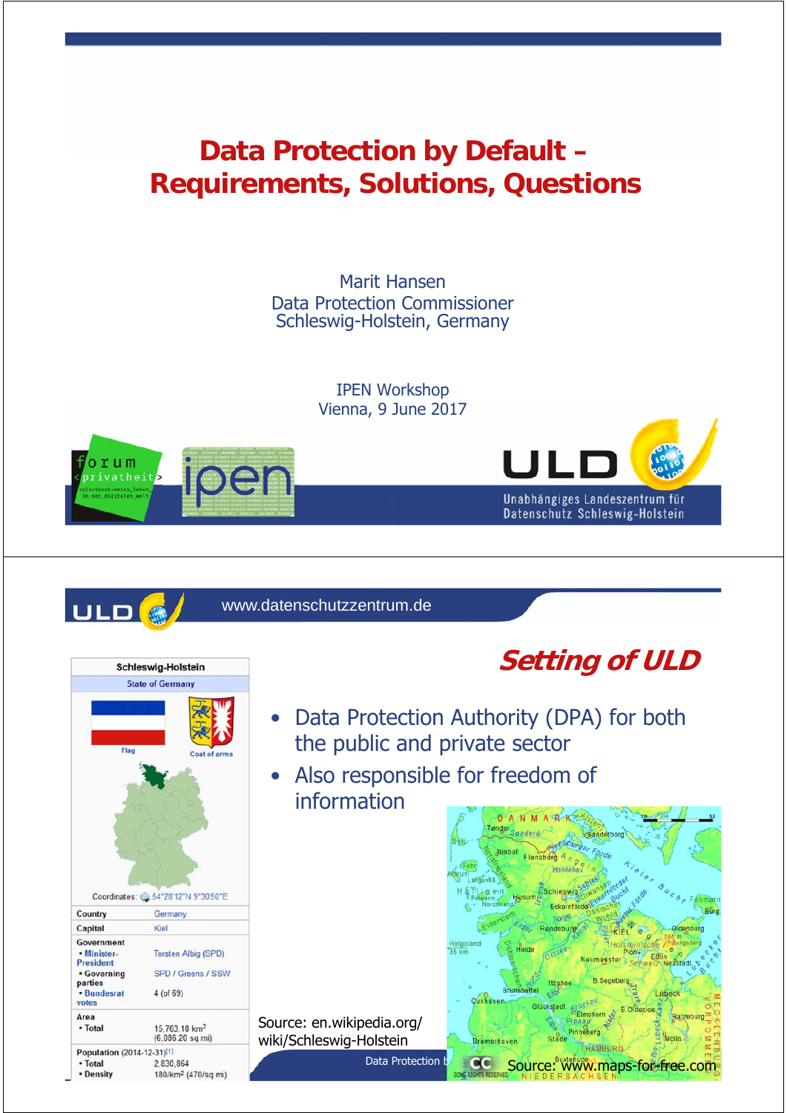### **Data Protection by Default – Requirements, Solutions, Questions**

Marit Hansen Data Protection Commissioner Schleswig-Holstein, Germany

> IPEN Workshop Vienna, 9 June 2017





Schleswig-Holstein **State of Germany** 

Coordinates: 34°28'12"N 9°30'50"E

Kiel

Germany

 $4($ of 69 $)$ 

2 830 864

15,763.18 km<sup>2</sup> (6,086.20 sq mi)

180/km<sup>2</sup> (470/sq mi)

Torsten Albig (SPD)

SPD / Greens / SSW

Country

Capital

Government

• Minister-

• Governing

· Bundesrat

Population (2014-12-31)[1]

President

parties

votes Area • Total

 $\cdot$  Total • Density www.datenschutzzentrum.de



Datenschutz Schleswig-Holstein

## **Setting of ULD**

- Data Protection Authority (DPA) for both the public and private sector
- Also responsible for freedom of information

Source: en.wikipedia.org/ wiki/Schleswig-Holstein

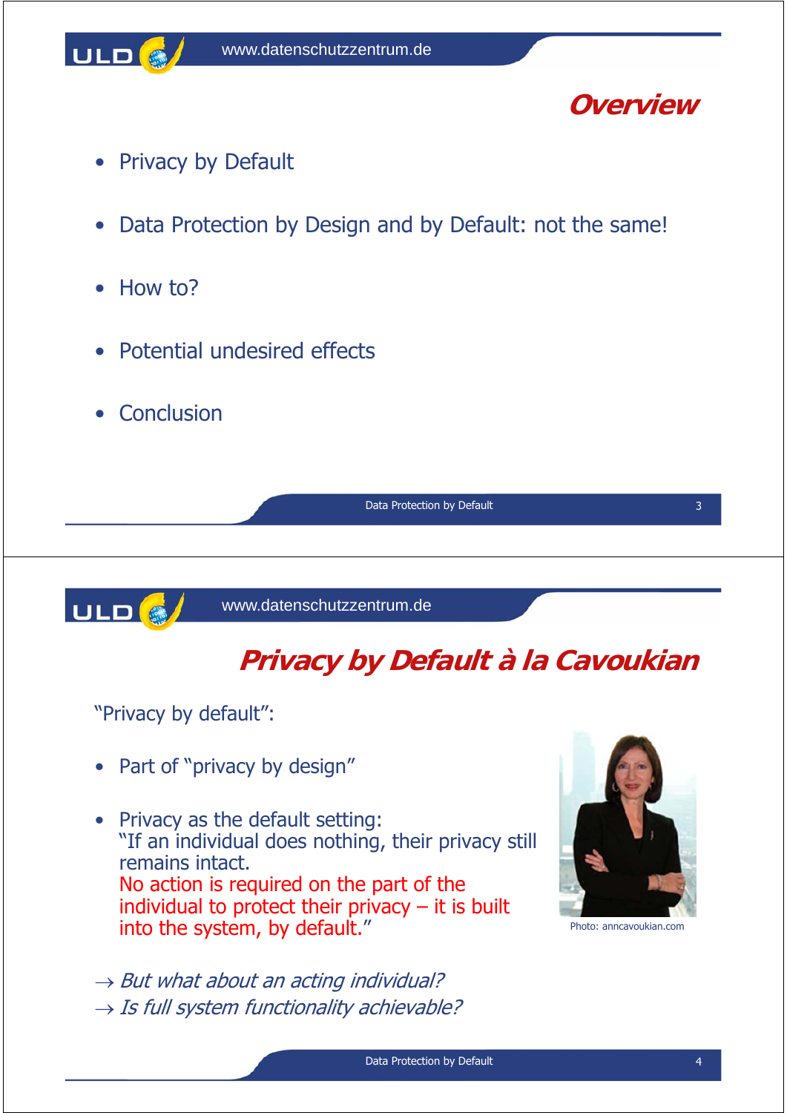

### **Overview**

- Privacy by Default
- Data Protection by Design and by Default: not the same!
- How to?
- Potential undesired effects
- Conclusion

Data Protection by Default 3 3

ULD<sup>6</sup>

www.datenschutzzentrum.de

## **Privacy by Default à la Cavoukian**

"Privacy by default":

- Part of "privacy by design"
- Privacy as the default setting: "If an individual does nothing, their privacy still remains intact. No action is required on the part of the individual to protect their privacy  $-$  it is built into the system, by default."
- $\rightarrow$  But what about an acting individual?  $\rightarrow$  Is full system functionality achievable?



Photo: anncavoukian.com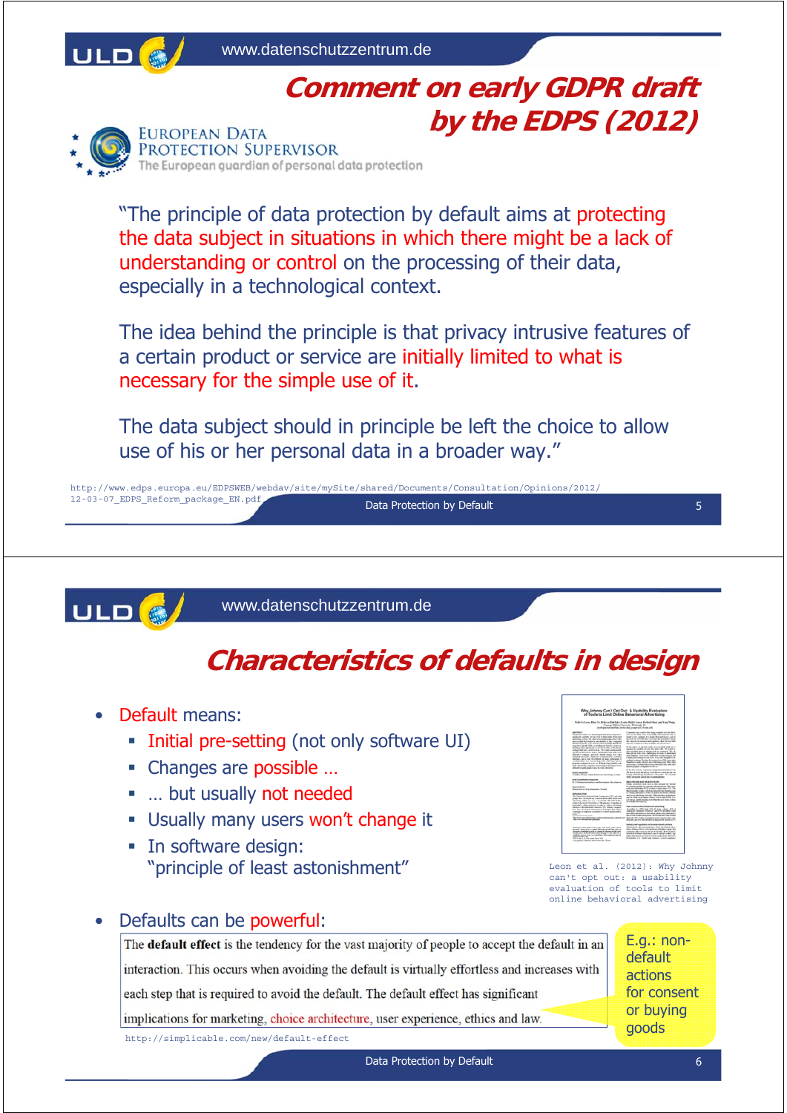

### **Comment on early GDPR draft by the EDPS (2012)**



"The principle of data protection by default aims at protecting the data subject in situations in which there might be a lack of understanding or control on the processing of their data, especially in a technological context.

The idea behind the principle is that privacy intrusive features of a certain product or service are initially limited to what is necessary for the simple use of it.

The data subject should in principle be left the choice to allow use of his or her personal data in a broader way."

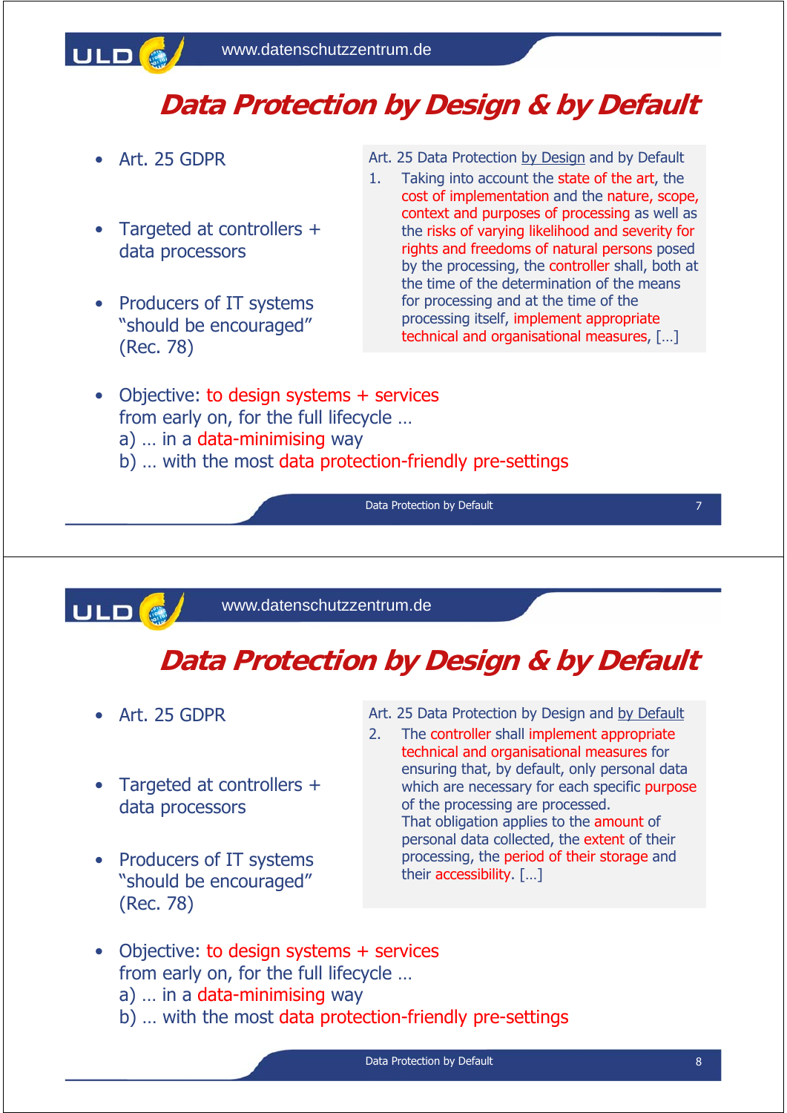

### **Data Protection by Design & by Default**

- Art. 25 GDPR
- Targeted at controllers + data processors
- Producers of IT systems "should be encouraged" (Rec. 78)
- Art. 25 Data Protection by Design and by Default
- 1. Taking into account the state of the art, the cost of implementation and the nature, scope, context and purposes of processing as well as the risks of varying likelihood and severity for rights and freedoms of natural persons posed by the processing, the controller shall, both at the time of the determination of the means for processing and at the time of the processing itself, implement appropriate technical and organisational measures, […]
- Objective: to design systems + services from early on, for the full lifecycle …
	- a) … in a data-minimising way
	- b) … with the most data protection-friendly pre-settings

Data Protection by Default



www.datenschutzzentrum.de

## **Data Protection by Design & by Default**

- Art. 25 GDPR
- Targeted at controllers + data processors
- Producers of IT systems "should be encouraged" (Rec. 78)
- Art. 25 Data Protection by Design and by Default
- 2. The controller shall implement appropriate technical and organisational measures for ensuring that, by default, only personal data which are necessary for each specific purpose of the processing are processed. That obligation applies to the amount of personal data collected, the extent of their processing, the period of their storage and their accessibility. […]
- Objective: to design systems + services from early on, for the full lifecycle …
	- a) … in a data-minimising way
	- b) … with the most data protection-friendly pre-settings

7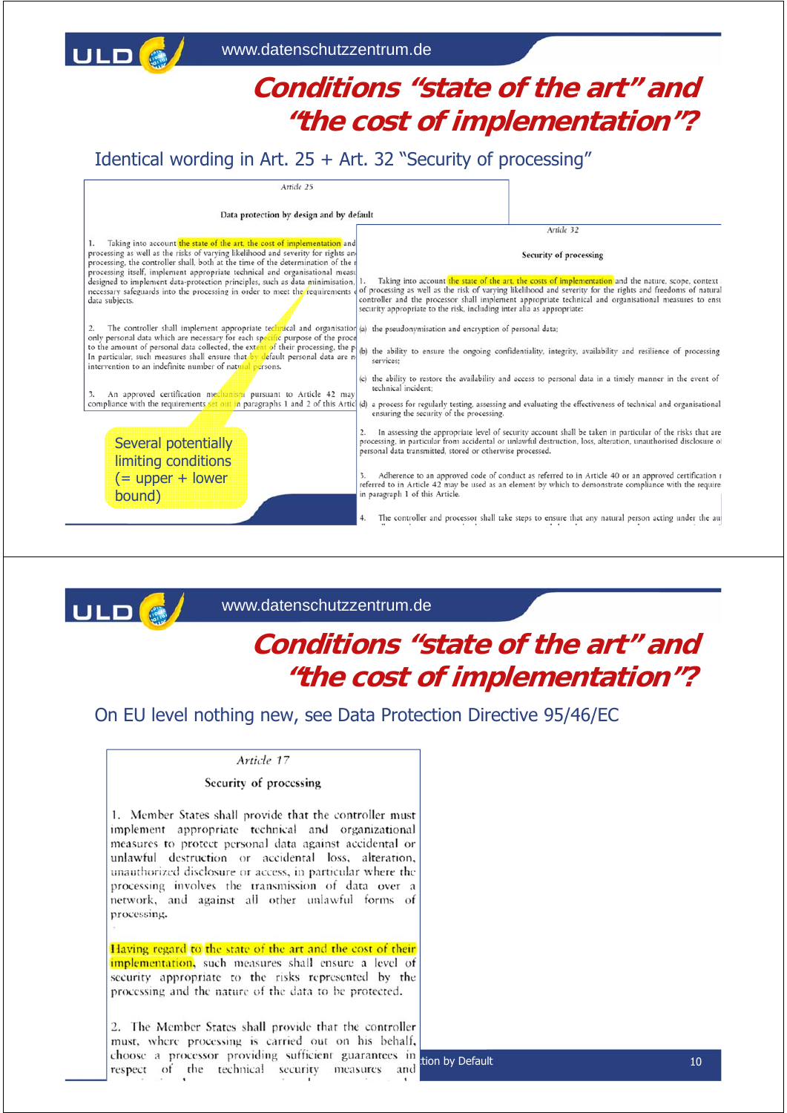### **Conditions "state of the art" and "the cost of implementation"?**

### Identical wording in Art. 25 + Art. 32 "Security of processing"



### www.datenschutzzentrum.de

### **Conditions "state of the art" and "the cost of implementation"?**

### On EU level nothing new, see Data Protection Directive 95/46/EC

#### Article 17

ULD

#### Security of processing

1. Member States shall provide that the controller must implement appropriate technical and organizational measures to protect personal data against accidental or unlawful destruction or accidental loss, alteration, unauthorized disclosure or access, in particular where the processing involves the transmission of data over a network, and against all other unlawful forms of processing.

Having regard to the state of the art and the cost of their implementation, such measures shall ensure a level of security appropriate to the risks represented by the processing and the nature of the data to be protected.

2. The Member States shall provide that the controller must, where processing is carried out on his behalf, choose a processor providing sufficient guarantees in tion by Default<br>
respect of the technical security measures and tion by Default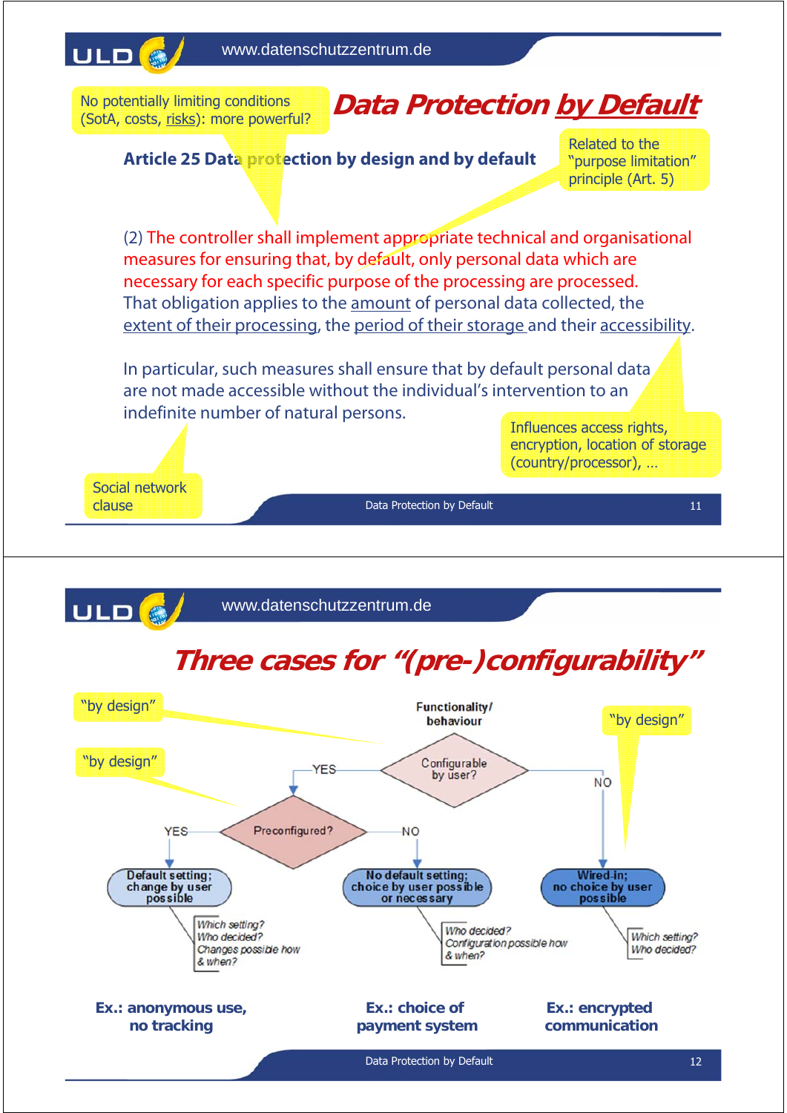

No potentially limiting conditions (SotA, costs, risks): more powerful?

# **Data Protection by Default**

**Article 25 Data protection by design and by default** 

Related to the "purpose limitation" principle (Art. 5)

(2) The controller shall implement appropriate technical and organisational measures for ensuring that, by default, only personal data which are necessary for each specific purpose of the processing are processed. That obligation applies to the amount of personal data collected, the extent of their processing, the period of their storage and their accessibility.

In particular, such measures shall ensure that by default personal data are not made accessible without the individual's intervention to an indefinite number of natural persons.

Influences access rights, encryption, location of storage (country/processor), …

11

Social network clause

Data Protection by Default

ULD<sup>e</sup> www.datenschutzzentrum.de

# **Three cases for "(pre-)configurability"**

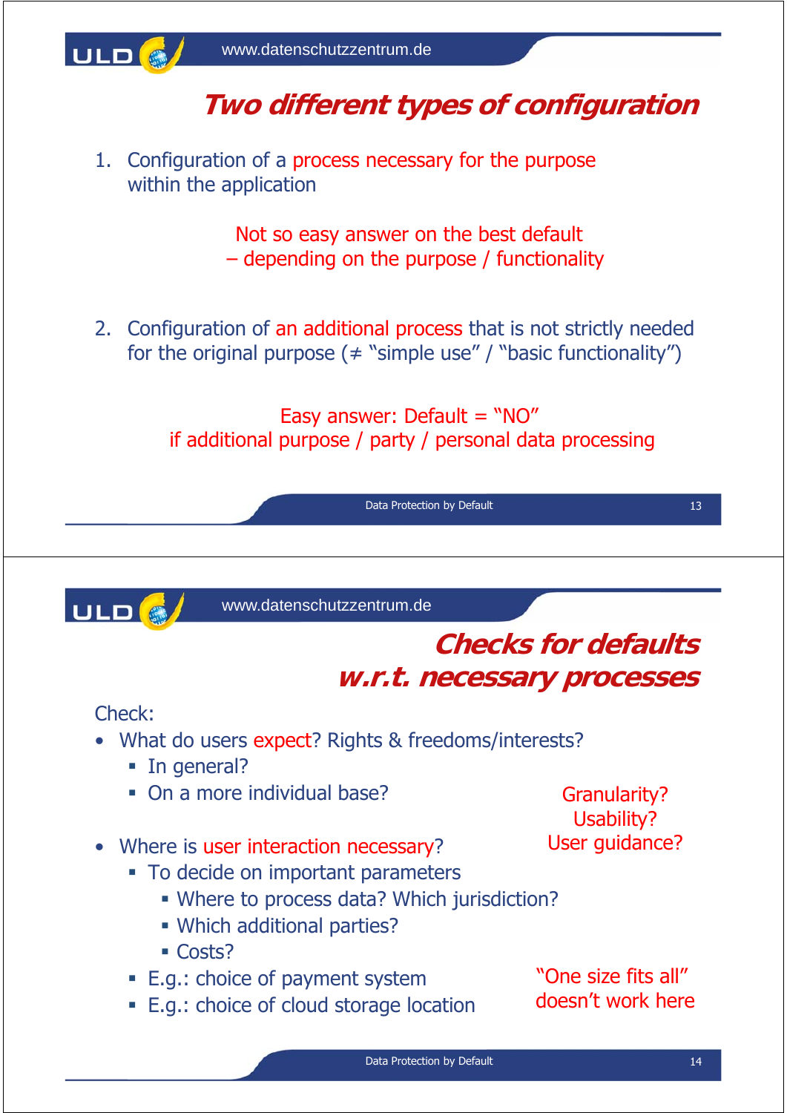

## **Two different types of configuration**

1. Configuration of a process necessary for the purpose within the application

> Not so easy answer on the best default – depending on the purpose / functionality

2. Configuration of an additional process that is not strictly needed for the original purpose  $($   $\neq$  "simple use" / "basic functionality")

> Easy answer: Default = "NO" if additional purpose / party / personal data processing

> > Data Protection by Default 13

ULD<sup>6</sup>

www.datenschutzzentrum.de

### **Checks for defaults w.r.t. necessary processes**

Check:

- What do users expect? Rights & freedoms/interests?
	- **In general?**
	- On a more individual base?
- Where is user interaction necessary?
	- To decide on important parameters
		- Where to process data? Which jurisdiction?
		- Which additional parties?
		- Costs?
	- E.g.: choice of payment system
	- E.g.: choice of cloud storage location

Granularity? Usability? User guidance?

"One size fits all" doesn't work here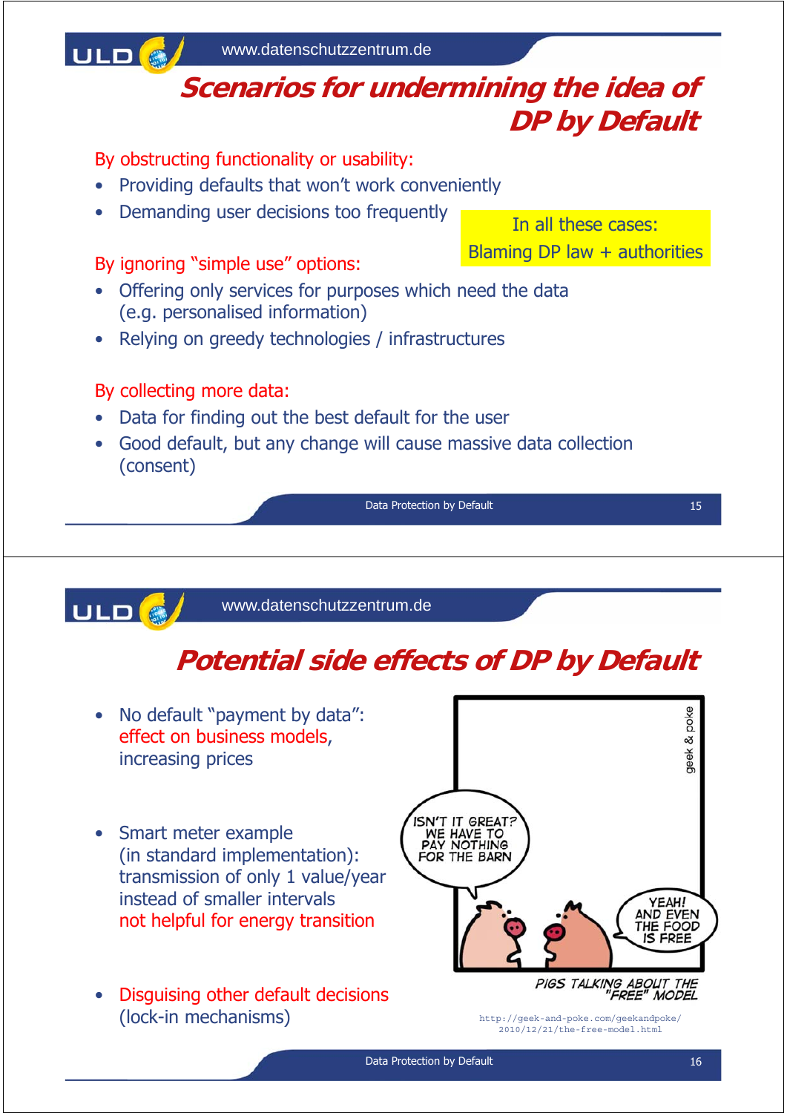

• Disguising other default decisions (lock-in mechanisms)

http://geek-and-poke.com/geekandpoke/ 2010/12/21/the-free-model.html

PIGS TALKING ABOUT THE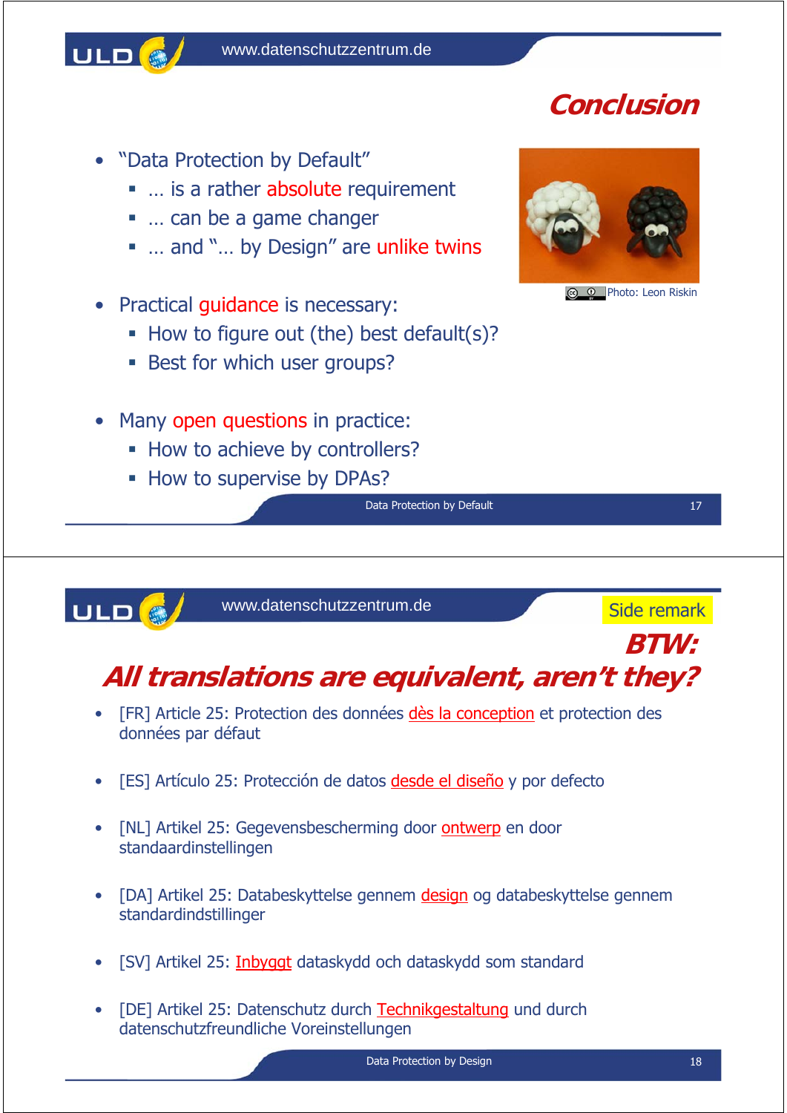

- "Data Protection by Default"
	- ... is a rather absolute requirement
	- … can be a game changer
	- ... and "... by Design" are unlike twins
- Practical guidance is necessary:
	- How to figure out (the) best default(s)?
	- **Best for which user groups?**
- Many open questions in practice:
	- How to achieve by controllers?
	- **How to supervise by DPAs?**





Photo: Leon Riskin

Data Protection by Default 17 and 17 and 17 and 17 and 17 and 17 and 17 and 17 and 17 and 17 and 17 and 17 and 17 and 17 and 17 and 17 and 17 and 17 and 17 and 17 and 17 and 17 and 17 and 17 and 17 and 17 and 17 and 17 and



www.datenschutzzentrum.de

Side remark

### **BTW: All translations are equivalent, aren't they?**

- [FR] Article 25: Protection des données dès la conception et protection des données par défaut
- [ES] Artículo 25: Protección de datos desde el diseño y por defecto
- [NL] Artikel 25: Gegevensbescherming door ontwerp en door standaardinstellingen
- [DA] Artikel 25: Databeskyttelse gennem design og databeskyttelse gennem standardindstillinger
- [SV] Artikel 25: *Inbyggt* dataskydd och dataskydd som standard
- [DE] Artikel 25: Datenschutz durch Technikgestaltung und durch datenschutzfreundliche Voreinstellungen